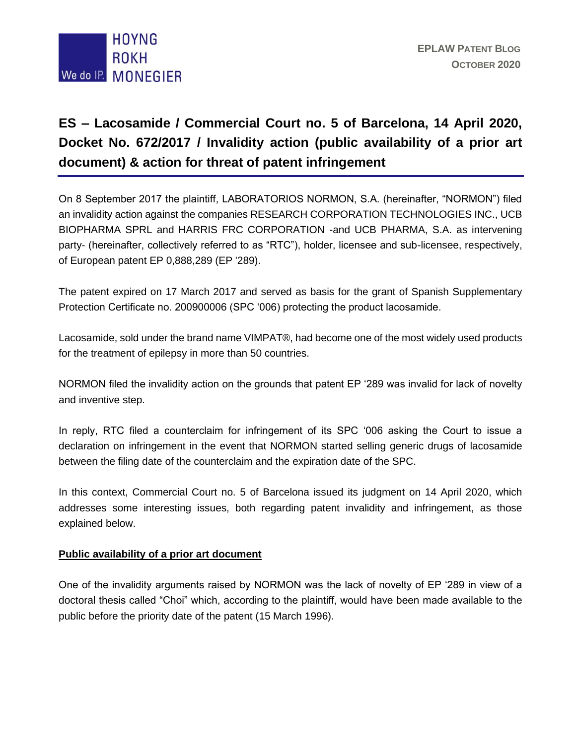

## **ES – Lacosamide / Commercial Court no. 5 of Barcelona, 14 April 2020, Docket No. 672/2017 / Invalidity action (public availability of a prior art document) & action for threat of patent infringement**

On 8 September 2017 the plaintiff, LABORATORIOS NORMON, S.A. (hereinafter, "NORMON") filed an invalidity action against the companies RESEARCH CORPORATION TECHNOLOGIES INC., UCB BIOPHARMA SPRL and HARRIS FRC CORPORATION -and UCB PHARMA, S.A. as intervening party- (hereinafter, collectively referred to as "RTC"), holder, licensee and sub-licensee, respectively, of European patent EP 0,888,289 (EP '289).

The patent expired on 17 March 2017 and served as basis for the grant of Spanish Supplementary Protection Certificate no. 200900006 (SPC '006) protecting the product lacosamide.

Lacosamide, sold under the brand name VIMPAT®, had become one of the most widely used products for the treatment of epilepsy in more than 50 countries.

NORMON filed the invalidity action on the grounds that patent EP '289 was invalid for lack of novelty and inventive step.

In reply, RTC filed a counterclaim for infringement of its SPC '006 asking the Court to issue a declaration on infringement in the event that NORMON started selling generic drugs of lacosamide between the filing date of the counterclaim and the expiration date of the SPC.

In this context, Commercial Court no. 5 of Barcelona issued its judgment on 14 April 2020, which addresses some interesting issues, both regarding patent invalidity and infringement, as those explained below.

## **Public availability of a prior art document**

One of the invalidity arguments raised by NORMON was the lack of novelty of EP '289 in view of a doctoral thesis called "Choi" which, according to the plaintiff, would have been made available to the public before the priority date of the patent (15 March 1996).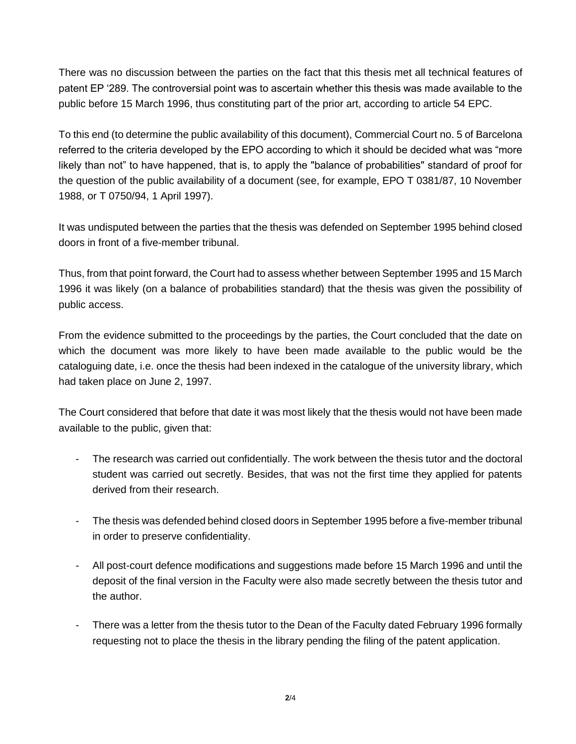There was no discussion between the parties on the fact that this thesis met all technical features of patent EP '289. The controversial point was to ascertain whether this thesis was made available to the public before 15 March 1996, thus constituting part of the prior art, according to article 54 EPC.

To this end (to determine the public availability of this document), Commercial Court no. 5 of Barcelona referred to the criteria developed by the EPO according to which it should be decided what was "more likely than not" to have happened, that is, to apply the "balance of probabilities" standard of proof for the question of the public availability of a document (see, for example, EPO T 0381/87, 10 November 1988, or T 0750/94, 1 April 1997).

It was undisputed between the parties that the thesis was defended on September 1995 behind closed doors in front of a five-member tribunal.

Thus, from that point forward, the Court had to assess whether between September 1995 and 15 March 1996 it was likely (on a balance of probabilities standard) that the thesis was given the possibility of public access.

From the evidence submitted to the proceedings by the parties, the Court concluded that the date on which the document was more likely to have been made available to the public would be the cataloguing date, i.e. once the thesis had been indexed in the catalogue of the university library, which had taken place on June 2, 1997.

The Court considered that before that date it was most likely that the thesis would not have been made available to the public, given that:

- The research was carried out confidentially. The work between the thesis tutor and the doctoral student was carried out secretly. Besides, that was not the first time they applied for patents derived from their research.
- The thesis was defended behind closed doors in September 1995 before a five-member tribunal in order to preserve confidentiality.
- All post-court defence modifications and suggestions made before 15 March 1996 and until the deposit of the final version in the Faculty were also made secretly between the thesis tutor and the author.
- There was a letter from the thesis tutor to the Dean of the Faculty dated February 1996 formally requesting not to place the thesis in the library pending the filing of the patent application.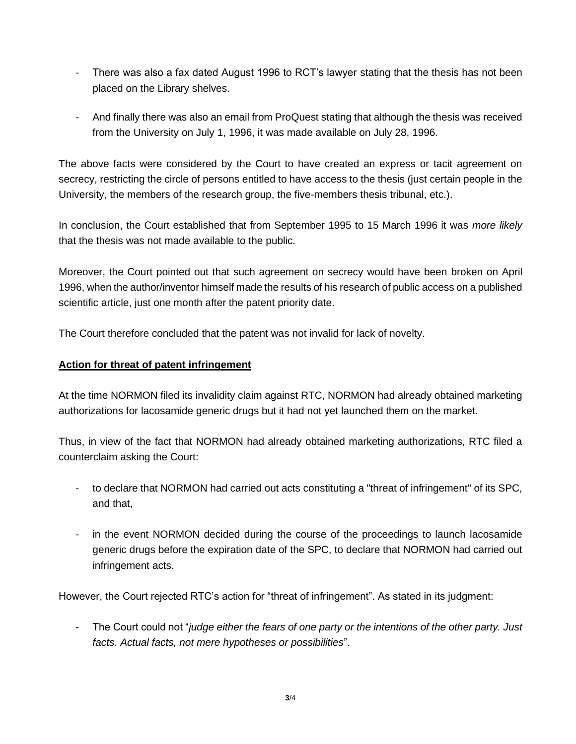- There was also a fax dated August 1996 to RCT's lawyer stating that the thesis has not been placed on the Library shelves.
- And finally there was also an email from ProQuest stating that although the thesis was received from the University on July 1, 1996, it was made available on July 28, 1996.

The above facts were considered by the Court to have created an express or tacit agreement on secrecy, restricting the circle of persons entitled to have access to the thesis (just certain people in the University, the members of the research group, the five-members thesis tribunal, etc.).

In conclusion, the Court established that from September 1995 to 15 March 1996 it was *more likely* that the thesis was not made available to the public.

Moreover, the Court pointed out that such agreement on secrecy would have been broken on April 1996, when the author/inventor himself made the results of his research of public access on a published scientific article, just one month after the patent priority date.

The Court therefore concluded that the patent was not invalid for lack of novelty.

## **Action for threat of patent infringement**

At the time NORMON filed its invalidity claim against RTC, NORMON had already obtained marketing authorizations for lacosamide generic drugs but it had not yet launched them on the market.

Thus, in view of the fact that NORMON had already obtained marketing authorizations, RTC filed a counterclaim asking the Court:

- to declare that NORMON had carried out acts constituting a "threat of infringement" of its SPC, and that,
- in the event NORMON decided during the course of the proceedings to launch lacosamide generic drugs before the expiration date of the SPC, to declare that NORMON had carried out infringement acts.

However, the Court rejected RTC's action for "threat of infringement". As stated in its judgment:

- The Court could not "*judge either the fears of one party or the intentions of the other party. Just facts. Actual facts, not mere hypotheses or possibilities*".